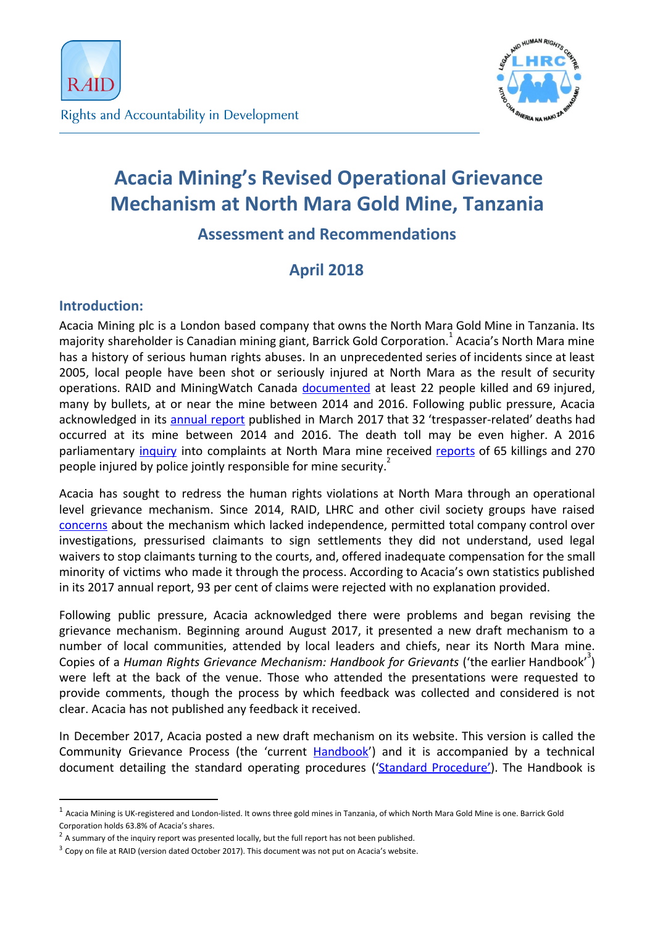

# **Acacia Mining's Revised Operational Grievance Mechanism at North Mara Gold Mine, Tanzania**

# **Assessment and Recommendations**

# **April 2018**

# **Introduction:**

Acacia Mining plc is a London based company that owns the North Mara Gold Mine in Tanzania. Its majority shareholder is Canadian mining giant, Barrick Gold Corporation.<sup>1</sup> Acacia's North Mara mine has a history of serious human rights abuses. In an unprecedented series of incidents since at least 2005, local people have been shot or seriously injured at North Mara as the result of security operations. RAID and MiningWatch Canada [documented](http://www.raid-uk.org/sites/default/files/adding_insult_to_injury_north_mara.pdf) at least 22 people killed and 69 injured, many by bullets, at or near the mine between 2014 and 2016. Following public pressure, Acacia acknowledged in its [annual](http://www.acaciamining.com/~/media/Files/A/Acacia/reports/2017/2016-acacia-annual-report-accounts.pdf) report published in March 2017 that 32 'trespasser-related' deaths had occurred at its mine between 2014 and 2016. The death toll may be even higher. A 2016 parliamentary *[inquiry](https://www.theglobeandmail.com/report-on-business/international-business/african-and-mideast-business/police-killed-65-injured-270-at-tanzanian-mine-inquiry-hears/article32013998/)* into complaints at North Mara mine received [reports](http://www.raid-uk.org/sites/default/files/pr_100s_of_claims_of_violence_at_acacias_north_mara_mine.pdf) of 65 killings and 270 people injured by police jointly responsible for mine security.

Acacia has sought to redress the human rights violations at North Mara through an operational level grievance mechanism. Since 2014, RAID, LHRC and other civil society groups have raised [concerns](http://www.raid-uk.org/sites/default/files/memorandum_to_acacia_revised.pdf) about the mechanism which lacked independence, permitted total company control over investigations, pressurised claimants to sign settlements they did not understand, used legal waivers to stop claimants turning to the courts, and, offered inadequate compensation for the small minority of victims who made it through the process. According to Acacia's own statistics published in its 2017 annual report, 93 per cent of claims were rejected with no explanation provided.

Following public pressure, Acacia acknowledged there were problems and began revising the grievance mechanism. Beginning around August 2017, it presented a new draft mechanism to a number of local communities, attended by local leaders and chiefs, near its North Mara mine. Copies of a *Human Rights Grievance Mechanism: Handbook for Grievants* ('the earlier Handbook' ) 3 were left at the back of the venue. Those who attended the presentations were requested to provide comments, though the process by which feedback was collected and considered is not clear. Acacia has not published any feedback it received.

In December 2017, Acacia posted a new draft mechanism on its website. This version is called the Community Grievance Process (the 'current [Handbook'](http://www.acaciamining.com/~/media/Files/A/Acacia/documents/grievance/community-grievance-process-handbook-20171208.pdf)) and it is accompanied by a technical document detailing the standard operating procedures ('Standard [Procedure'\)](http://www.acaciamining.com/~/media/Files/A/Acacia/documents/grievance/community-grievance-process-sop-20171208.pdf). The Handbook is

 $1$  Acacia Mining is UK-registered and London-listed. It owns three gold mines in Tanzania, of which North Mara Gold Mine is one. Barrick Gold Corporation holds 63.8% of Acacia's shares.

 $2$  A summary of the inquiry report was presented locally, but the full report has not been published.

 $3$  Copy on file at RAID (version dated October 2017). This document was not put on Acacia's website.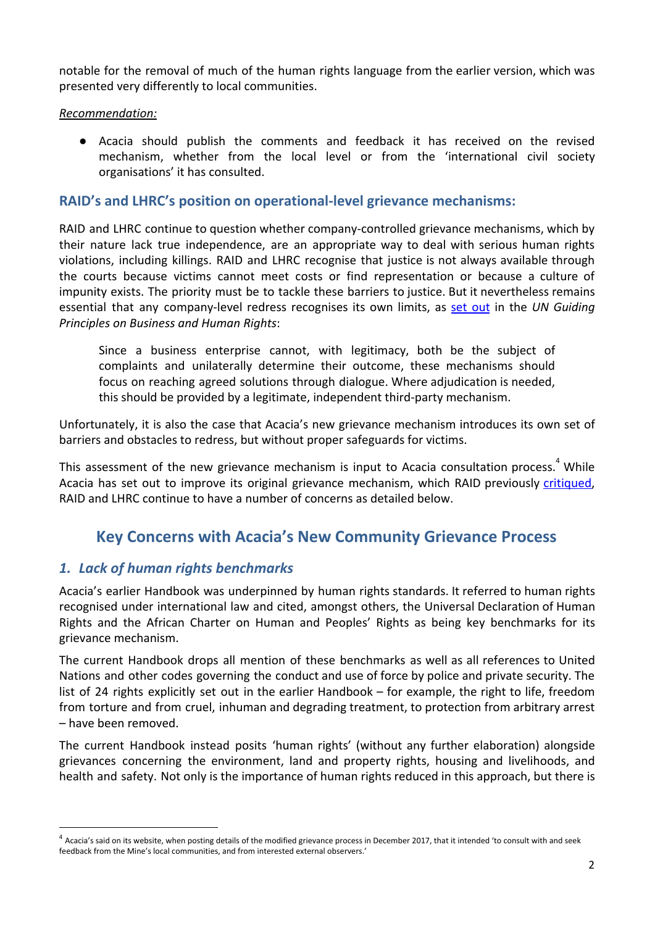notable for the removal of much of the human rights language from the earlier version, which was presented very differently to local communities.

#### *Recommendation:*

● Acacia should publish the comments and feedback it has received on the revised mechanism, whether from the local level or from the 'international civil society organisations' it has consulted.

### **RAID's and LHRC's position on operational-level grievance mechanisms:**

RAID and LHRC continue to question whether company-controlled grievance mechanisms, which by their nature lack true independence, are an appropriate way to deal with serious human rights violations, including killings. RAID and LHRC recognise that justice is not always available through the courts because victims cannot meet costs or find representation or because a culture of impunity exists. The priority must be to tackle these barriers to justice. But it nevertheless remains essential that any company-level redress recognises its own limits, as set [out](http://www.ohchr.org/Documents/Publications/GuidingPrinciplesBusinessHR_EN.pdf) in the *UN Guiding Principles on Business and Human Rights*:

Since a business enterprise cannot, with legitimacy, both be the subject of complaints and unilaterally determine their outcome, these mechanisms should focus on reaching agreed solutions through dialogue. Where adjudication is needed, this should be provided by a legitimate, independent third-party mechanism.

Unfortunately, it is also the case that Acacia's new grievance mechanism introduces its own set of barriers and obstacles to redress, but without proper safeguards for victims.

This assessment of the new grievance mechanism is input to Acacia consultation process.<sup>4</sup> While Acacia has set out to improve its original grievance mechanism, which RAID previously [critiqued](http://www.raid-uk.org/sites/default/files/memorandum_to_acacia_revised.pdf), RAID and LHRC continue to have a number of concerns as detailed below.

# **Key Concerns with Acacia's New Community Grievance Process**

# *1. Lack of human rights benchmarks*

Acacia's earlier Handbook was underpinned by human rights standards. It referred to human rights recognised under international law and cited, amongst others, the Universal Declaration of Human Rights and the African Charter on Human and Peoples' Rights as being key benchmarks for its grievance mechanism.

The current Handbook drops all mention of these benchmarks as well as all references to United Nations and other codes governing the conduct and use of force by police and private security. The list of 24 rights explicitly set out in the earlier Handbook – for example, the right to life, freedom from torture and from cruel, inhuman and degrading treatment, to protection from arbitrary arrest – have been removed.

The current Handbook instead posits 'human rights' (without any further elaboration) alongside grievances concerning the environment, land and property rights, housing and livelihoods, and health and safety. Not only is the importance of human rights reduced in this approach, but there is

 $4$  Acacia's said on its website, when posting details of the modified grievance process in December 2017, that it intended 'to consult with and seek feedback from the Mine's local communities, and from interested external observers.'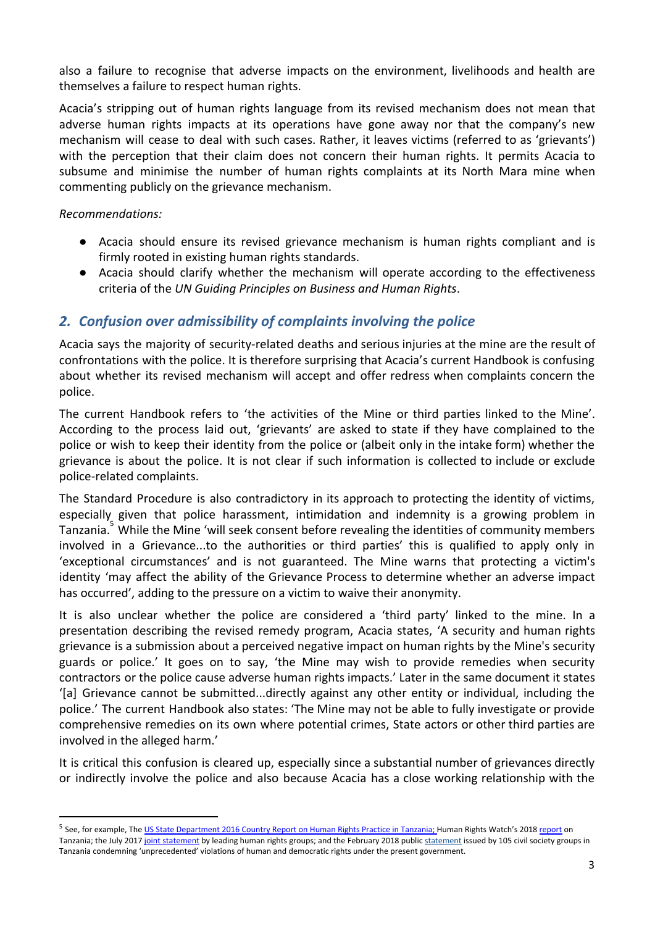also a failure to recognise that adverse impacts on the environment, livelihoods and health are themselves a failure to respect human rights.

Acacia's stripping out of human rights language from its revised mechanism does not mean that adverse human rights impacts at its operations have gone away nor that the company's new mechanism will cease to deal with such cases. Rather, it leaves victims (referred to as 'grievants') with the perception that their claim does not concern their human rights. It permits Acacia to subsume and minimise the number of human rights complaints at its North Mara mine when commenting publicly on the grievance mechanism.

*Recommendations:*

- Acacia should ensure its revised grievance mechanism is human rights compliant and is firmly rooted in existing human rights standards.
- Acacia should clarify whether the mechanism will operate according to the effectiveness criteria of the *UN Guiding Principles on Business and Human Rights*.

# *2. Confusion over admissibility of complaints involving the police*

Acacia says the majority of security-related deaths and serious injuries at the mine are the result of confrontations with the police. It is therefore surprising that Acacia's current Handbook is confusing about whether its revised mechanism will accept and offer redress when complaints concern the police.

The current Handbook refers to 'the activities of the Mine or third parties linked to the Mine'. According to the process laid out, 'grievants' are asked to state if they have complained to the police or wish to keep their identity from the police or (albeit only in the intake form) whether the grievance is about the police. It is not clear if such information is collected to include or exclude police-related complaints.

The Standard Procedure is also contradictory in its approach to protecting the identity of victims, especially given that police harassment, intimidation and indemnity is a growing problem in Tanzania.<sup>7</sup> While the Mine 'will seek consent before revealing the identities of community members involved in a Grievance...to the authorities or third parties' this is qualified to apply only in 'exceptional circumstances' and is not guaranteed. The Mine warns that protecting a victim's identity 'may affect the ability of the Grievance Process to determine whether an adverse impact has occurred', adding to the pressure on a victim to waive their anonymity.

It is also unclear whether the police are considered a 'third party' linked to the mine. In a presentation describing the revised remedy program, Acacia states, 'A security and human rights grievance is a submission about a perceived negative impact on human rights by the Mine's security guards or police.' It goes on to say, 'the Mine may wish to provide remedies when security contractors or the police cause adverse human rights impacts.' Later in the same document it states '[a] Grievance cannot be submitted...directly against any other entity or individual, including the police.' The current Handbook also states: 'The Mine may not be able to fully investigate or provide comprehensive remedies on its own where potential crimes, State actors or other third parties are involved in the alleged harm.'

It is critical this confusion is cleared up, especially since a substantial number of grievances directly or indirectly involve the police and also because Acacia has a close working relationship with the

<sup>&</sup>lt;sup>5</sup> See, for example, The <u>US State [Department](http://www.state.gov/j/drl/rls/hrrpt/humanrightsreport/index.htm?year=2016&dlid=265310) 2016 Country Report on Human Rights Practice in Tanzania; Human Rights Watch's 2018 <u>[report](https://www.hrw.org/world-report/2018/country-chapters/tanzania-and-zanzibar)</u> on</u> Tanzania; the July 2017 joint [statement](https://www.nation.co.ke/news/africa/Tanzania-civil-society-decries-unprecedented-violations/1066-4314926-9lqutq/index.html) by leading human rights groups; and the February 2018 public statement issued by 105 civil society groups in Tanzania condemning 'unprecedented' violations of human and democratic rights under the present government.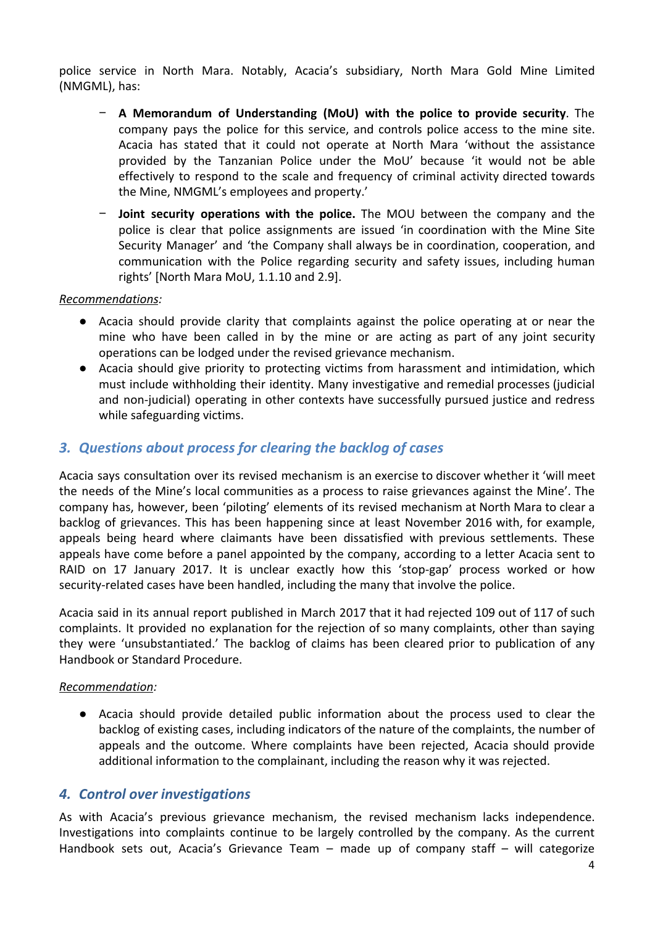police service in North Mara. Notably, Acacia's subsidiary, North Mara Gold Mine Limited (NMGML), has:

- − **A Memorandum of Understanding (MoU) with the police to provide security**. The company pays the police for this service, and controls police access to the mine site. Acacia has stated that it could not operate at North Mara 'without the assistance provided by the Tanzanian Police under the MoU' because 'it would not be able effectively to respond to the scale and frequency of criminal activity directed towards the Mine, NMGML's employees and property.'
- − **Joint security operations with the police.** The MOU between the company and the police is clear that police assignments are issued 'in coordination with the Mine Site Security Manager' and 'the Company shall always be in coordination, cooperation, and communication with the Police regarding security and safety issues, including human rights' [North Mara MoU, 1.1.10 and 2.9].

#### *Recommendations:*

- Acacia should provide clarity that complaints against the police operating at or near the mine who have been called in by the mine or are acting as part of any joint security operations can be lodged under the revised grievance mechanism.
- Acacia should give priority to protecting victims from harassment and intimidation, which must include withholding their identity. Many investigative and remedial processes (judicial and non-judicial) operating in other contexts have successfully pursued justice and redress while safeguarding victims.

# *3. Questions about process for clearing the backlog of cases*

Acacia says consultation over its revised mechanism is an exercise to discover whether it 'will meet the needs of the Mine's local communities as a process to raise grievances against the Mine'. The company has, however, been 'piloting' elements of its revised mechanism at North Mara to clear a backlog of grievances. This has been happening since at least November 2016 with, for example, appeals being heard where claimants have been dissatisfied with previous settlements. These appeals have come before a panel appointed by the company, according to a letter Acacia sent to RAID on 17 January 2017. It is unclear exactly how this 'stop-gap' process worked or how security-related cases have been handled, including the many that involve the police.

Acacia said in its annual report published in March 2017 that it had rejected 109 out of 117 of such complaints. It provided no explanation for the rejection of so many complaints, other than saying they were 'unsubstantiated.' The backlog of claims has been cleared prior to publication of any Handbook or Standard Procedure.

#### *Recommendation:*

● Acacia should provide detailed public information about the process used to clear the backlog of existing cases, including indicators of the nature of the complaints, the number of appeals and the outcome. Where complaints have been rejected, Acacia should provide additional information to the complainant, including the reason why it was rejected.

#### *4. Control over investigations*

As with Acacia's previous grievance mechanism, the revised mechanism lacks independence. Investigations into complaints continue to be largely controlled by the company. As the current Handbook sets out, Acacia's Grievance Team – made up of company staff – will categorize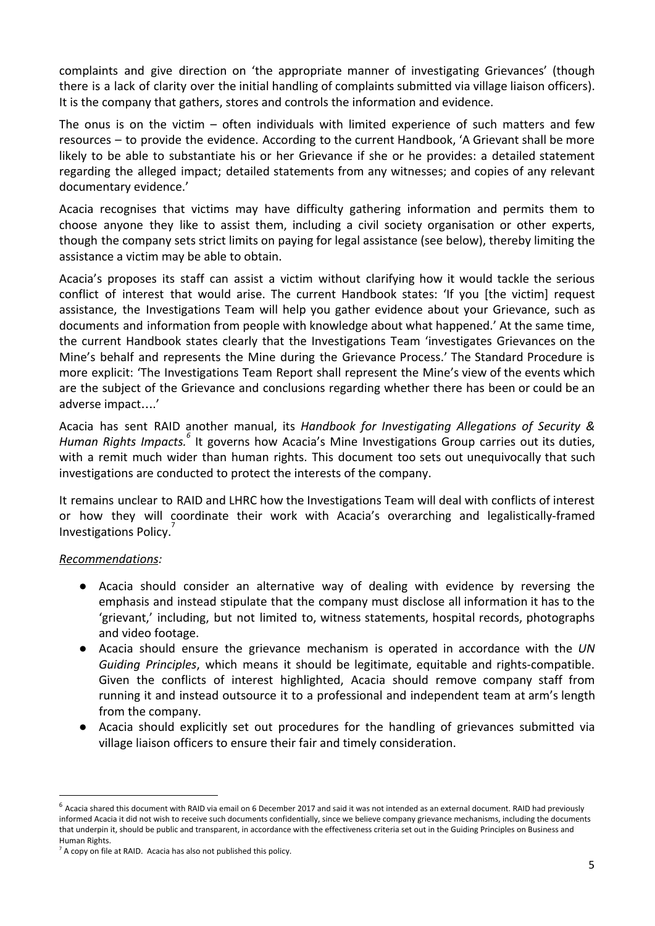complaints and give direction on 'the appropriate manner of investigating Grievances' (though there is a lack of clarity over the initial handling of complaints submitted via village liaison officers). It is the company that gathers, stores and controls the information and evidence.

The onus is on the victim  $-$  often individuals with limited experience of such matters and few resources – to provide the evidence. According to the current Handbook, 'A Grievant shall be more likely to be able to substantiate his or her Grievance if she or he provides: a detailed statement regarding the alleged impact; detailed statements from any witnesses; and copies of any relevant documentary evidence.'

Acacia recognises that victims may have difficulty gathering information and permits them to choose anyone they like to assist them, including a civil society organisation or other experts, though the company sets strict limits on paying for legal assistance (see below), thereby limiting the assistance a victim may be able to obtain.

Acacia's proposes its staff can assist a victim without clarifying how it would tackle the serious conflict of interest that would arise. The current Handbook states: 'If you [the victim] request assistance, the Investigations Team will help you gather evidence about your Grievance, such as documents and information from people with knowledge about what happened.' At the same time, the current Handbook states clearly that the Investigations Team 'investigates Grievances on the Mine's behalf and represents the Mine during the Grievance Process.' The Standard Procedure is more explicit: 'The Investigations Team Report shall represent the Mine's view of the events which are the subject of the Grievance and conclusions regarding whether there has been or could be an adverse impact….'

Acacia has sent RAID another manual, its *Handbook for Investigating Allegations of Security & Human Rights Impacts.* It governs how Acacia's Mine Investigations Group carries out its duties, *<sup>6</sup>* with a remit much wider than human rights. This document too sets out unequivocally that such investigations are conducted to protect the interests of the company.

It remains unclear to RAID and LHRC how the Investigations Team will deal with conflicts of interest or how they will coordinate their work with Acacia's overarching and legalistically-framed Investigations Policy.

#### *Recommendations:*

- Acacia should consider an alternative way of dealing with evidence by reversing the emphasis and instead stipulate that the company must disclose all information it has to the 'grievant,' including, but not limited to, witness statements, hospital records, photographs and video footage.
- Acacia should ensure the grievance mechanism is operated in accordance with the *UN Guiding Principles*, which means it should be legitimate, equitable and rights-compatible. Given the conflicts of interest highlighted, Acacia should remove company staff from running it and instead outsource it to a professional and independent team at arm's length from the company.
- Acacia should explicitly set out procedures for the handling of grievances submitted via village liaison officers to ensure their fair and timely consideration.

 $<sup>6</sup>$  Acacia shared this document with RAID via email on 6 December 2017 and said it was not intended as an external document. RAID had previously</sup> informed Acacia it did not wish to receive such documents confidentially, since we believe company grievance mechanisms, including the documents that underpin it, should be public and transparent, in accordance with the effectiveness criteria set out in the Guiding Principles on Business and Human Rights.

 $<sup>7</sup>$  A copy on file at RAID. Acacia has also not published this policy.</sup>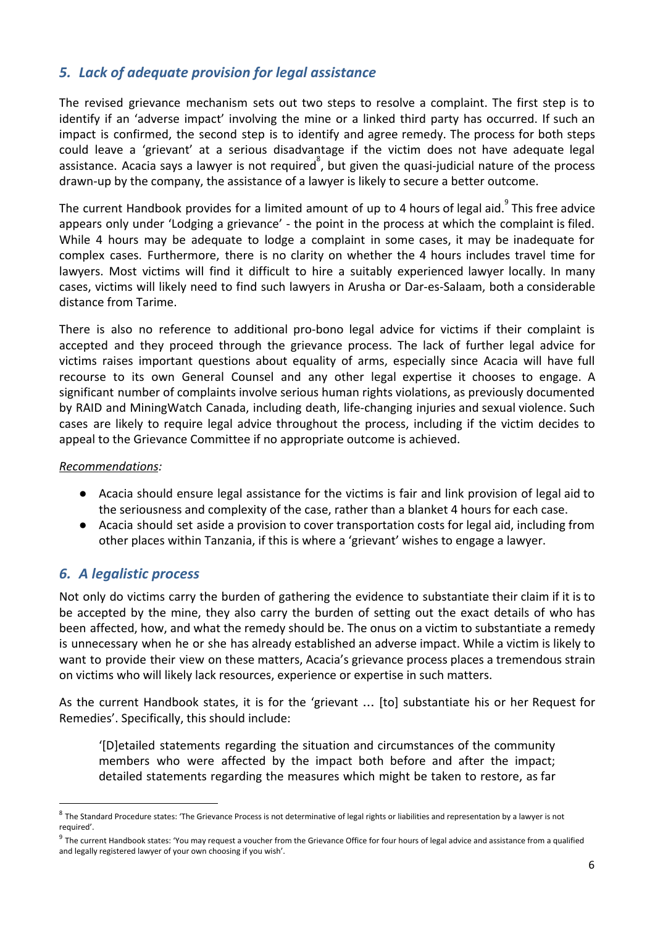# *5. Lack of adequate provision for legal assistance*

The revised grievance mechanism sets out two steps to resolve a complaint. The first step is to identify if an 'adverse impact' involving the mine or a linked third party has occurred. If such an impact is confirmed, the second step is to identify and agree remedy. The process for both steps could leave a 'grievant' at a serious disadvantage if the victim does not have adequate legal assistance. Acacia says a lawyer is not required, but given the quasi-judicial nature of the process drawn-up by the company, the assistance of a lawyer is likely to secure a better outcome.

The current Handbook provides for a limited amount of up to 4 hours of legal aid. This free advice appears only under 'Lodging a grievance' - the point in the process at which the complaint is filed. While 4 hours may be adequate to lodge a complaint in some cases, it may be inadequate for complex cases. Furthermore, there is no clarity on whether the 4 hours includes travel time for lawyers. Most victims will find it difficult to hire a suitably experienced lawyer locally. In many cases, victims will likely need to find such lawyers in Arusha or Dar-es-Salaam, both a considerable distance from Tarime.

There is also no reference to additional pro-bono legal advice for victims if their complaint is accepted and they proceed through the grievance process. The lack of further legal advice for victims raises important questions about equality of arms, especially since Acacia will have full recourse to its own General Counsel and any other legal expertise it chooses to engage. A significant number of complaints involve serious human rights violations, as previously documented by RAID and MiningWatch Canada, including death, life-changing injuries and sexual violence. Such cases are likely to require legal advice throughout the process, including if the victim decides to appeal to the Grievance Committee if no appropriate outcome is achieved.

#### *Recommendations:*

- Acacia should ensure legal assistance for the victims is fair and link provision of legal aid to the seriousness and complexity of the case, rather than a blanket 4 hours for each case.
- Acacia should set aside a provision to cover transportation costs for legal aid, including from other places within Tanzania, if this is where a 'grievant' wishes to engage a lawyer.

# *6. A legalistic process*

Not only do victims carry the burden of gathering the evidence to substantiate their claim if it is to be accepted by the mine, they also carry the burden of setting out the exact details of who has been affected, how, and what the remedy should be. The onus on a victim to substantiate a remedy is unnecessary when he or she has already established an adverse impact. While a victim is likely to want to provide their view on these matters, Acacia's grievance process places a tremendous strain on victims who will likely lack resources, experience or expertise in such matters.

As the current Handbook states, it is for the 'grievant … [to] substantiate his or her Request for Remedies'. Specifically, this should include:

'[D]etailed statements regarding the situation and circumstances of the community members who were affected by the impact both before and after the impact; detailed statements regarding the measures which might be taken to restore, as far

 $8$  The Standard Procedure states: 'The Grievance Process is not determinative of legal rights or liabilities and representation by a lawyer is not required'.

 $9$  The current Handbook states: 'You may request a voucher from the Grievance Office for four hours of legal advice and assistance from a qualified and legally registered lawyer of your own choosing if you wish'.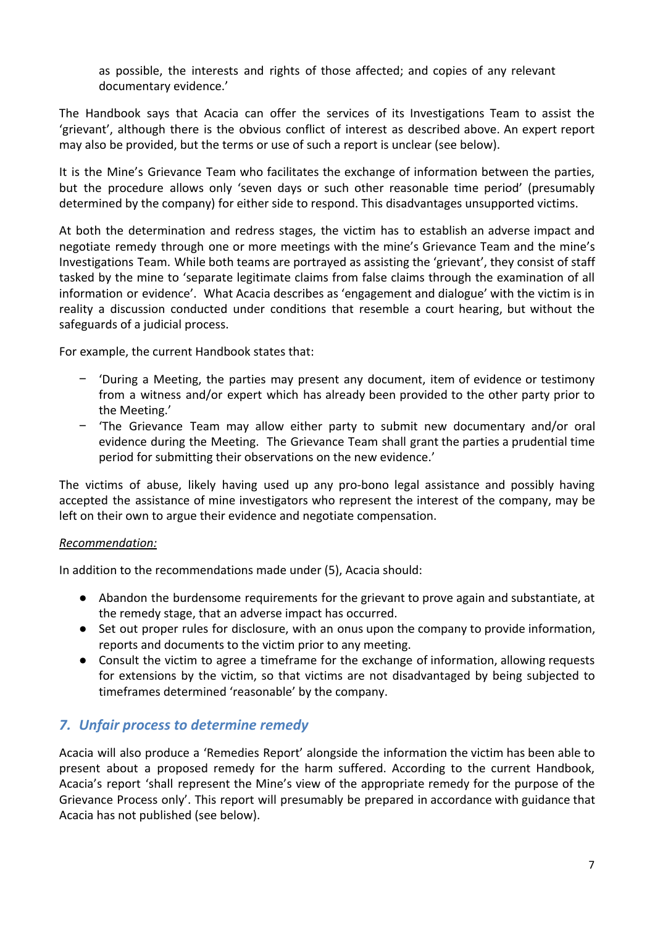as possible, the interests and rights of those affected; and copies of any relevant documentary evidence.'

The Handbook says that Acacia can offer the services of its Investigations Team to assist the 'grievant', although there is the obvious conflict of interest as described above. An expert report may also be provided, but the terms or use of such a report is unclear (see below).

It is the Mine's Grievance Team who facilitates the exchange of information between the parties, but the procedure allows only 'seven days or such other reasonable time period' (presumably determined by the company) for either side to respond. This disadvantages unsupported victims.

At both the determination and redress stages, the victim has to establish an adverse impact and negotiate remedy through one or more meetings with the mine's Grievance Team and the mine's Investigations Team. While both teams are portrayed as assisting the 'grievant', they consist of staff tasked by the mine to 'separate legitimate claims from false claims through the examination of all information or evidence'. What Acacia describes as 'engagement and dialogue' with the victim is in reality a discussion conducted under conditions that resemble a court hearing, but without the safeguards of a judicial process.

For example, the current Handbook states that:

- − 'During a Meeting, the parties may present any document, item of evidence or testimony from a witness and/or expert which has already been provided to the other party prior to the Meeting.'
- − 'The Grievance Team may allow either party to submit new documentary and/or oral evidence during the Meeting. The Grievance Team shall grant the parties a prudential time period for submitting their observations on the new evidence.'

The victims of abuse, likely having used up any pro-bono legal assistance and possibly having accepted the assistance of mine investigators who represent the interest of the company, may be left on their own to argue their evidence and negotiate compensation.

#### *Recommendation:*

In addition to the recommendations made under (5), Acacia should:

- Abandon the burdensome requirements for the grievant to prove again and substantiate, at the remedy stage, that an adverse impact has occurred.
- Set out proper rules for disclosure, with an onus upon the company to provide information, reports and documents to the victim prior to any meeting.
- Consult the victim to agree a timeframe for the exchange of information, allowing requests for extensions by the victim, so that victims are not disadvantaged by being subjected to timeframes determined 'reasonable' by the company.

# *7. Unfair process to determine remedy*

Acacia will also produce a 'Remedies Report' alongside the information the victim has been able to present about a proposed remedy for the harm suffered. According to the current Handbook, Acacia's report 'shall represent the Mine's view of the appropriate remedy for the purpose of the Grievance Process only'. This report will presumably be prepared in accordance with guidance that Acacia has not published (see below).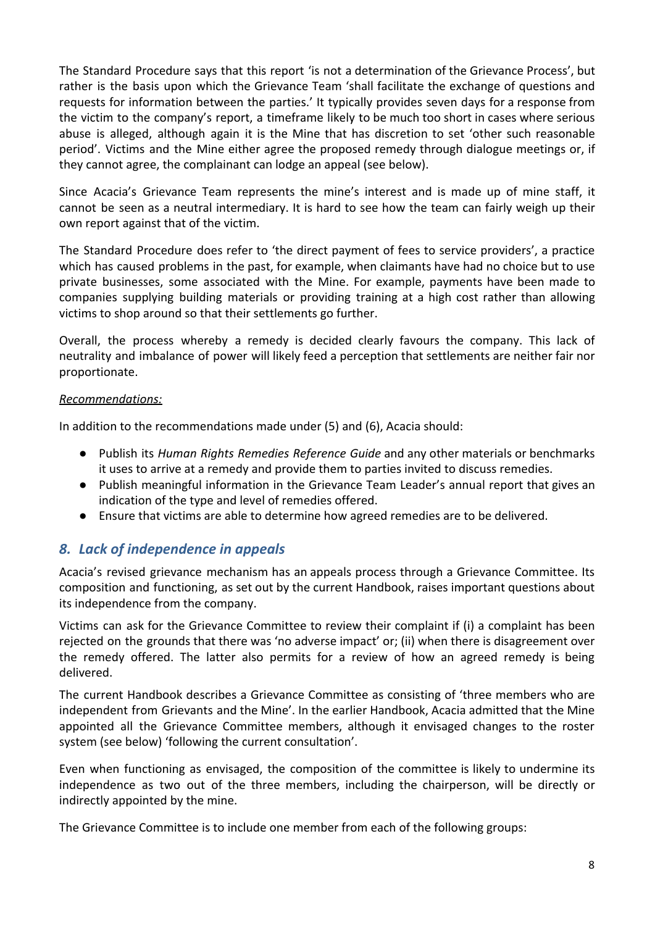The Standard Procedure says that this report 'is not a determination of the Grievance Process', but rather is the basis upon which the Grievance Team 'shall facilitate the exchange of questions and requests for information between the parties.' It typically provides seven days for a response from the victim to the company's report, a timeframe likely to be much too short in cases where serious abuse is alleged, although again it is the Mine that has discretion to set 'other such reasonable period'. Victims and the Mine either agree the proposed remedy through dialogue meetings or, if they cannot agree, the complainant can lodge an appeal (see below).

Since Acacia's Grievance Team represents the mine's interest and is made up of mine staff, it cannot be seen as a neutral intermediary. It is hard to see how the team can fairly weigh up their own report against that of the victim.

The Standard Procedure does refer to 'the direct payment of fees to service providers', a practice which has caused problems in the past, for example, when claimants have had no choice but to use private businesses, some associated with the Mine. For example, payments have been made to companies supplying building materials or providing training at a high cost rather than allowing victims to shop around so that their settlements go further.

Overall, the process whereby a remedy is decided clearly favours the company. This lack of neutrality and imbalance of power will likely feed a perception that settlements are neither fair nor proportionate.

#### *Recommendations:*

In addition to the recommendations made under (5) and (6), Acacia should:

- Publish its *Human Rights Remedies Reference Guide* and any other materials or benchmarks it uses to arrive at a remedy and provide them to parties invited to discuss remedies.
- Publish meaningful information in the Grievance Team Leader's annual report that gives an indication of the type and level of remedies offered.
- Ensure that victims are able to determine how agreed remedies are to be delivered.

# *8. Lack of independence in appeals*

Acacia's revised grievance mechanism has an appeals process through a Grievance Committee. Its composition and functioning, as set out by the current Handbook, raises important questions about its independence from the company.

Victims can ask for the Grievance Committee to review their complaint if (i) a complaint has been rejected on the grounds that there was 'no adverse impact' or; (ii) when there is disagreement over the remedy offered. The latter also permits for a review of how an agreed remedy is being delivered.

The current Handbook describes a Grievance Committee as consisting of 'three members who are independent from Grievants and the Mine'. In the earlier Handbook, Acacia admitted that the Mine appointed all the Grievance Committee members, although it envisaged changes to the roster system (see below) 'following the current consultation'.

Even when functioning as envisaged, the composition of the committee is likely to undermine its independence as two out of the three members, including the chairperson, will be directly or indirectly appointed by the mine.

The Grievance Committee is to include one member from each of the following groups: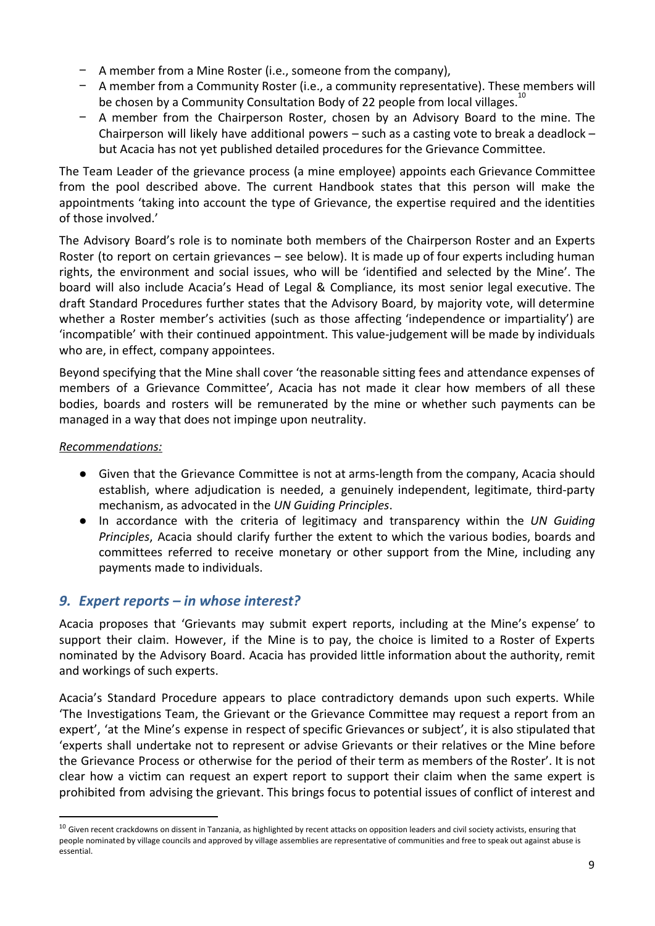- − A member from a Mine Roster (i.e., someone from the company),
- − A member from a Community Roster (i.e., a community representative). These members will be chosen by a Community Consultation Body of 22 people from local villages.<sup>1</sup>
- − A member from the Chairperson Roster, chosen by an Advisory Board to the mine. The Chairperson will likely have additional powers – such as a casting vote to break a deadlock – but Acacia has not yet published detailed procedures for the Grievance Committee.

The Team Leader of the grievance process (a mine employee) appoints each Grievance Committee from the pool described above. The current Handbook states that this person will make the appointments 'taking into account the type of Grievance, the expertise required and the identities of those involved.'

The Advisory Board's role is to nominate both members of the Chairperson Roster and an Experts Roster (to report on certain grievances – see below). It is made up of four experts including human rights, the environment and social issues, who will be 'identified and selected by the Mine'. The board will also include Acacia's Head of Legal & Compliance, its most senior legal executive. The draft Standard Procedures further states that the Advisory Board, by majority vote, will determine whether a Roster member's activities (such as those affecting 'independence or impartiality') are 'incompatible' with their continued appointment. This value-judgement will be made by individuals who are, in effect, company appointees.

Beyond specifying that the Mine shall cover 'the reasonable sitting fees and attendance expenses of members of a Grievance Committee', Acacia has not made it clear how members of all these bodies, boards and rosters will be remunerated by the mine or whether such payments can be managed in a way that does not impinge upon neutrality.

#### *Recommendations:*

- Given that the Grievance Committee is not at arms-length from the company, Acacia should establish, where adjudication is needed, a genuinely independent, legitimate, third-party mechanism, as advocated in the *UN Guiding Principles*.
- In accordance with the criteria of legitimacy and transparency within the *UN Guiding Principles*, Acacia should clarify further the extent to which the various bodies, boards and committees referred to receive monetary or other support from the Mine, including any payments made to individuals.

# *9. Expert reports – in whose interest?*

Acacia proposes that 'Grievants may submit expert reports, including at the Mine's expense' to support their claim. However, if the Mine is to pay, the choice is limited to a Roster of Experts nominated by the Advisory Board. Acacia has provided little information about the authority, remit and workings of such experts.

Acacia's Standard Procedure appears to place contradictory demands upon such experts. While 'The Investigations Team, the Grievant or the Grievance Committee may request a report from an expert', 'at the Mine's expense in respect of specific Grievances or subject', it is also stipulated that 'experts shall undertake not to represent or advise Grievants or their relatives or the Mine before the Grievance Process or otherwise for the period of their term as members of the Roster'. It is not clear how a victim can request an expert report to support their claim when the same expert is prohibited from advising the grievant. This brings focus to potential issues of conflict of interest and

 $10$  Given recent crackdowns on dissent in Tanzania, as highlighted by recent attacks on opposition leaders and civil society activists, ensuring that people nominated by village councils and approved by village assemblies are representative of communities and free to speak out against abuse is essential.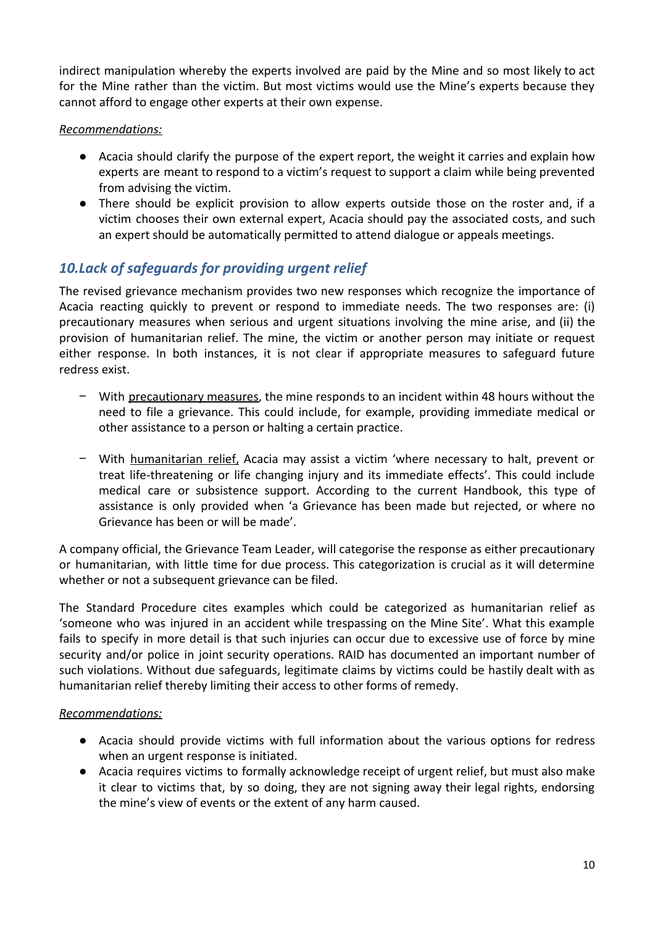indirect manipulation whereby the experts involved are paid by the Mine and so most likely to act for the Mine rather than the victim. But most victims would use the Mine's experts because they cannot afford to engage other experts at their own expense.

#### *Recommendations:*

- Acacia should clarify the purpose of the expert report, the weight it carries and explain how experts are meant to respond to a victim's request to support a claim while being prevented from advising the victim.
- There should be explicit provision to allow experts outside those on the roster and, if a victim chooses their own external expert, Acacia should pay the associated costs, and such an expert should be automatically permitted to attend dialogue or appeals meetings.

# *10.Lack of safeguards for providing urgent relief*

The revised grievance mechanism provides two new responses which recognize the importance of Acacia reacting quickly to prevent or respond to immediate needs. The two responses are: (i) precautionary measures when serious and urgent situations involving the mine arise, and (ii) the provision of humanitarian relief. The mine, the victim or another person may initiate or request either response. In both instances, it is not clear if appropriate measures to safeguard future redress exist.

- − With precautionary measures, the mine responds to an incident within 48 hours without the need to file a grievance. This could include, for example, providing immediate medical or other assistance to a person or halting a certain practice.
- − With humanitarian relief, Acacia may assist a victim 'where necessary to halt, prevent or treat life-threatening or life changing injury and its immediate effects'. This could include medical care or subsistence support. According to the current Handbook, this type of assistance is only provided when 'a Grievance has been made but rejected, or where no Grievance has been or will be made'.

A company official, the Grievance Team Leader, will categorise the response as either precautionary or humanitarian, with little time for due process. This categorization is crucial as it will determine whether or not a subsequent grievance can be filed.

The Standard Procedure cites examples which could be categorized as humanitarian relief as 'someone who was injured in an accident while trespassing on the Mine Site'. What this example fails to specify in more detail is that such injuries can occur due to excessive use of force by mine security and/or police in joint security operations. RAID has documented an important number of such violations. Without due safeguards, legitimate claims by victims could be hastily dealt with as humanitarian relief thereby limiting their access to other forms of remedy.

#### *Recommendations:*

- *●* Acacia should provide victims with full information about the various options for redress when an urgent response is initiated.
- Acacia requires victims to formally acknowledge receipt of urgent relief, but must also make it clear to victims that, by so doing, they are not signing away their legal rights, endorsing the mine's view of events or the extent of any harm caused.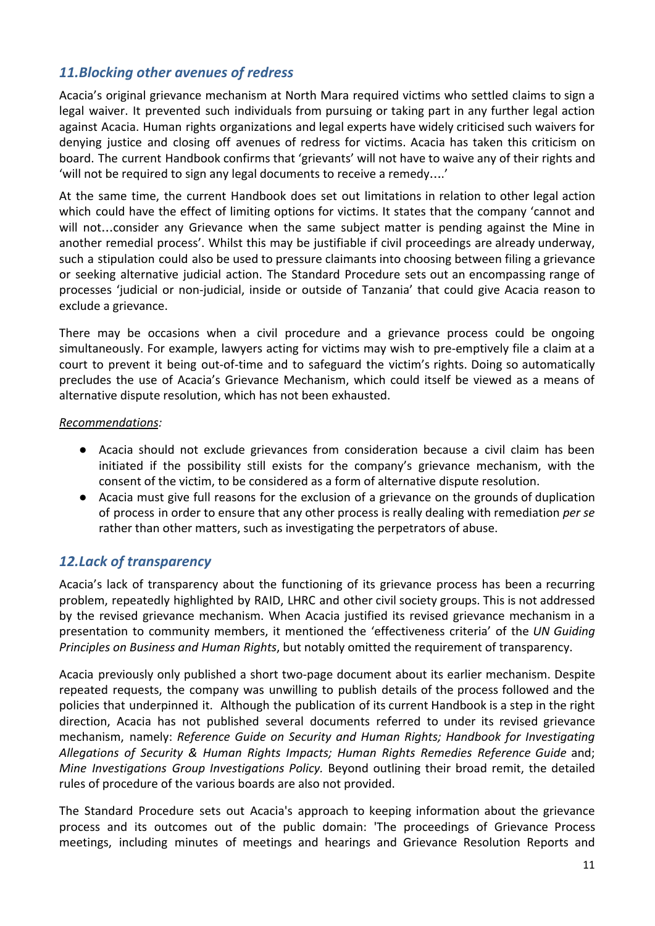# *11.Blocking other avenues of redress*

Acacia's original grievance mechanism at North Mara required victims who settled claims to sign a legal waiver. It prevented such individuals from pursuing or taking part in any further legal action against Acacia. Human rights organizations and legal experts have widely criticised such waivers for denying justice and closing off avenues of redress for victims. Acacia has taken this criticism on board. The current Handbook confirms that 'grievants' will not have to waive any of their rights and 'will not be required to sign any legal documents to receive a remedy….'

At the same time, the current Handbook does set out limitations in relation to other legal action which could have the effect of limiting options for victims. It states that the company 'cannot and will not…consider any Grievance when the same subject matter is pending against the Mine in another remedial process'. Whilst this may be justifiable if civil proceedings are already underway, such a stipulation could also be used to pressure claimants into choosing between filing a grievance or seeking alternative judicial action. The Standard Procedure sets out an encompassing range of processes 'judicial or non-judicial, inside or outside of Tanzania' that could give Acacia reason to exclude a grievance.

There may be occasions when a civil procedure and a grievance process could be ongoing simultaneously. For example, lawyers acting for victims may wish to pre-emptively file a claim at a court to prevent it being out-of-time and to safeguard the victim's rights. Doing so automatically precludes the use of Acacia's Grievance Mechanism, which could itself be viewed as a means of alternative dispute resolution, which has not been exhausted.

#### *Recommendations:*

- Acacia should not exclude grievances from consideration because a civil claim has been initiated if the possibility still exists for the company's grievance mechanism, with the consent of the victim, to be considered as a form of alternative dispute resolution.
- Acacia must give full reasons for the exclusion of a grievance on the grounds of duplication of process in order to ensure that any other process is really dealing with remediation *per se* rather than other matters, such as investigating the perpetrators of abuse.

# *12.Lack of transparency*

Acacia's lack of transparency about the functioning of its grievance process has been a recurring problem, repeatedly highlighted by RAID, LHRC and other civil society groups. This is not addressed by the revised grievance mechanism. When Acacia justified its revised grievance mechanism in a presentation to community members, it mentioned the 'effectiveness criteria' of the *UN Guiding Principles on Business and Human Rights*, but notably omitted the requirement of transparency.

Acacia previously only published a short two-page document about its earlier mechanism. Despite repeated requests, the company was unwilling to publish details of the process followed and the policies that underpinned it. Although the publication of its current Handbook is a step in the right direction, Acacia has not published several documents referred to under its revised grievance mechanism, namely: *Reference Guide on Security and Human Rights; Handbook for Investigating Allegations of Security & Human Rights Impacts; Human Rights Remedies Reference Guide* and; *Mine Investigations Group Investigations Policy.* Beyond outlining their broad remit, the detailed rules of procedure of the various boards are also not provided.

The Standard Procedure sets out Acacia's approach to keeping information about the grievance process and its outcomes out of the public domain: 'The proceedings of Grievance Process meetings, including minutes of meetings and hearings and Grievance Resolution Reports and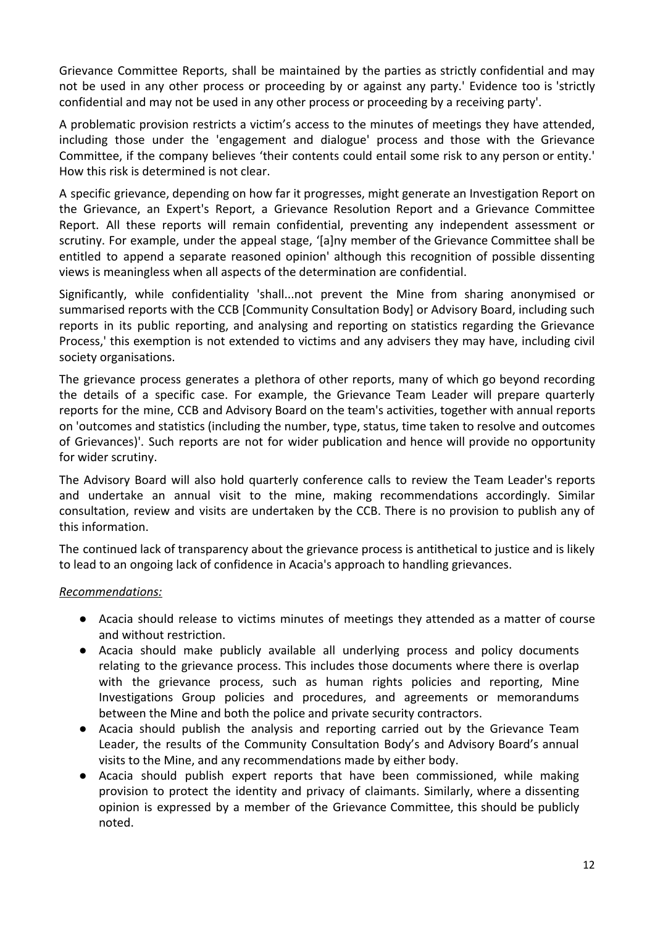Grievance Committee Reports, shall be maintained by the parties as strictly confidential and may not be used in any other process or proceeding by or against any party.' Evidence too is 'strictly confidential and may not be used in any other process or proceeding by a receiving party'.

A problematic provision restricts a victim's access to the minutes of meetings they have attended, including those under the 'engagement and dialogue' process and those with the Grievance Committee, if the company believes 'their contents could entail some risk to any person or entity.' How this risk is determined is not clear.

A specific grievance, depending on how far it progresses, might generate an Investigation Report on the Grievance, an Expert's Report, a Grievance Resolution Report and a Grievance Committee Report. All these reports will remain confidential, preventing any independent assessment or scrutiny. For example, under the appeal stage, '[a]ny member of the Grievance Committee shall be entitled to append a separate reasoned opinion' although this recognition of possible dissenting views is meaningless when all aspects of the determination are confidential.

Significantly, while confidentiality 'shall...not prevent the Mine from sharing anonymised or summarised reports with the CCB [Community Consultation Body] or Advisory Board, including such reports in its public reporting, and analysing and reporting on statistics regarding the Grievance Process,' this exemption is not extended to victims and any advisers they may have, including civil society organisations.

The grievance process generates a plethora of other reports, many of which go beyond recording the details of a specific case. For example, the Grievance Team Leader will prepare quarterly reports for the mine, CCB and Advisory Board on the team's activities, together with annual reports on 'outcomes and statistics (including the number, type, status, time taken to resolve and outcomes of Grievances)'. Such reports are not for wider publication and hence will provide no opportunity for wider scrutiny.

The Advisory Board will also hold quarterly conference calls to review the Team Leader's reports and undertake an annual visit to the mine, making recommendations accordingly. Similar consultation, review and visits are undertaken by the CCB. There is no provision to publish any of this information.

The continued lack of transparency about the grievance process is antithetical to justice and is likely to lead to an ongoing lack of confidence in Acacia's approach to handling grievances.

#### *Recommendations:*

- Acacia should release to victims minutes of meetings they attended as a matter of course and without restriction.
- Acacia should make publicly available all underlying process and policy documents relating to the grievance process. This includes those documents where there is overlap with the grievance process, such as human rights policies and reporting, Mine Investigations Group policies and procedures, and agreements or memorandums between the Mine and both the police and private security contractors.
- Acacia should publish the analysis and reporting carried out by the Grievance Team Leader, the results of the Community Consultation Body's and Advisory Board's annual visits to the Mine, and any recommendations made by either body.
- Acacia should publish expert reports that have been commissioned, while making provision to protect the identity and privacy of claimants. Similarly, where a dissenting opinion is expressed by a member of the Grievance Committee, this should be publicly noted.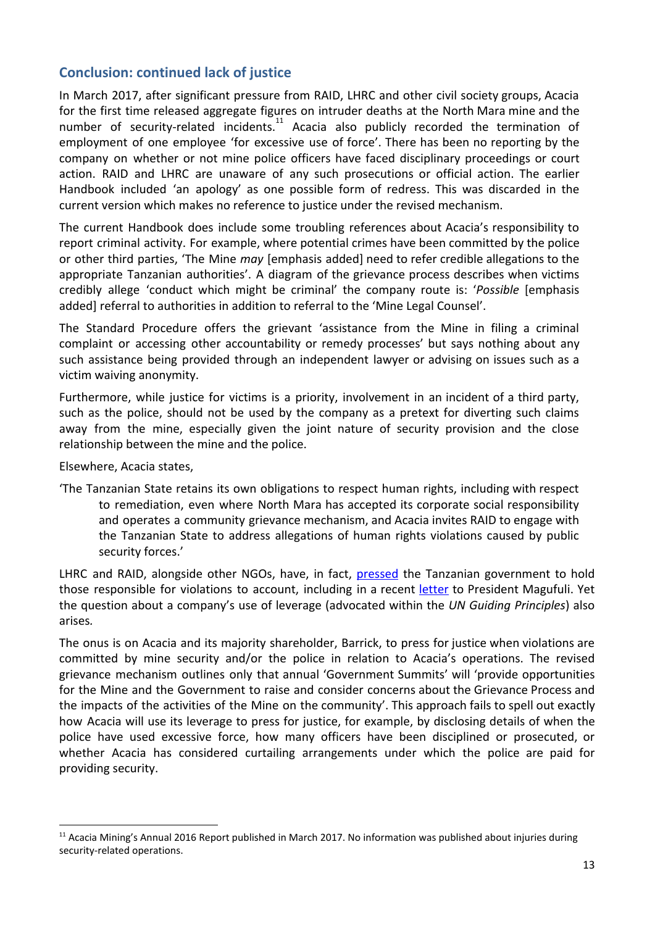# **Conclusion: continued lack of justice**

In March 2017, after significant pressure from RAID, LHRC and other civil society groups, Acacia for the first time released aggregate figures on intruder deaths at the North Mara mine and the number of security-related incidents.<sup>11</sup> Acacia also publicly recorded the termination of employment of one employee 'for excessive use of force'. There has been no reporting by the company on whether or not mine police officers have faced disciplinary proceedings or court action. RAID and LHRC are unaware of any such prosecutions or official action. The earlier Handbook included 'an apology' as one possible form of redress. This was discarded in the current version which makes no reference to justice under the revised mechanism.

The current Handbook does include some troubling references about Acacia's responsibility to report criminal activity. For example, where potential crimes have been committed by the police or other third parties, 'The Mine *may* [emphasis added] need to refer credible allegations to the appropriate Tanzanian authorities'. A diagram of the grievance process describes when victims credibly allege 'conduct which might be criminal' the company route is: '*Possible* [emphasis added] referral to authorities in addition to referral to the 'Mine Legal Counsel'.

The Standard Procedure offers the grievant 'assistance from the Mine in filing a criminal complaint or accessing other accountability or remedy processes' but says nothing about any such assistance being provided through an independent lawyer or advising on issues such as a victim waiving anonymity.

Furthermore, while justice for victims is a priority, involvement in an incident of a third party, such as the police, should not be used by the company as a pretext for diverting such claims away from the mine, especially given the joint nature of security provision and the close relationship between the mine and the police.

Elsewhere, Acacia states,

'The Tanzanian State retains its own obligations to respect human rights, including with respect to remediation, even where North Mara has accepted its corporate social responsibility and operates a community grievance mechanism, and Acacia invites RAID to engage with the Tanzanian State to address allegations of human rights violations caused by public security forces.'

LHRC and RAID, alongside other NGOs, have, in fact, [pressed](http://www.raid-uk.org/blog/tanzania-president-should-insist-barrick-gold-resolves-rights-abuses-acacia%E2%80%99s-north-mara-mine) the Tanzanian government to hold those responsible for violations to account, including in a recent [letter](http://www.raid-uk.org/sites/default/files/joint_ngo_letter_to_tanzanian_president_25_october_2017_.pdf) to President Magufuli. Yet the question about a company's use of leverage (advocated within the *UN Guiding Principles*) also arises*.*

The onus is on Acacia and its majority shareholder, Barrick, to press for justice when violations are committed by mine security and/or the police in relation to Acacia's operations. The revised grievance mechanism outlines only that annual 'Government Summits' will 'provide opportunities for the Mine and the Government to raise and consider concerns about the Grievance Process and the impacts of the activities of the Mine on the community'. This approach fails to spell out exactly how Acacia will use its leverage to press for justice, for example, by disclosing details of when the police have used excessive force, how many officers have been disciplined or prosecuted, or whether Acacia has considered curtailing arrangements under which the police are paid for providing security.

<sup>&</sup>lt;sup>11</sup> Acacia Mining's Annual 2016 Report published in March 2017. No information was published about injuries during security-related operations.